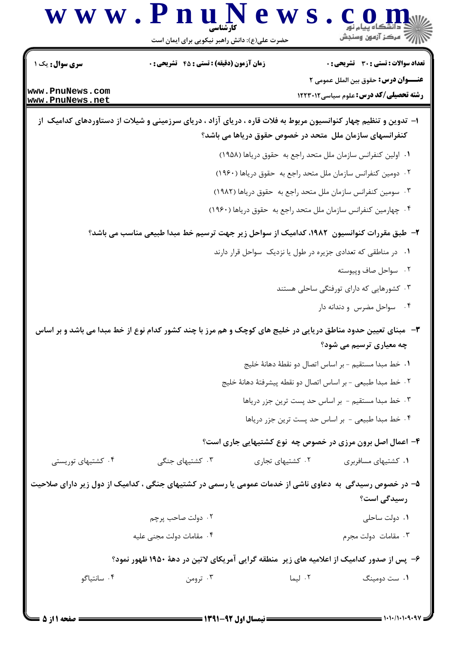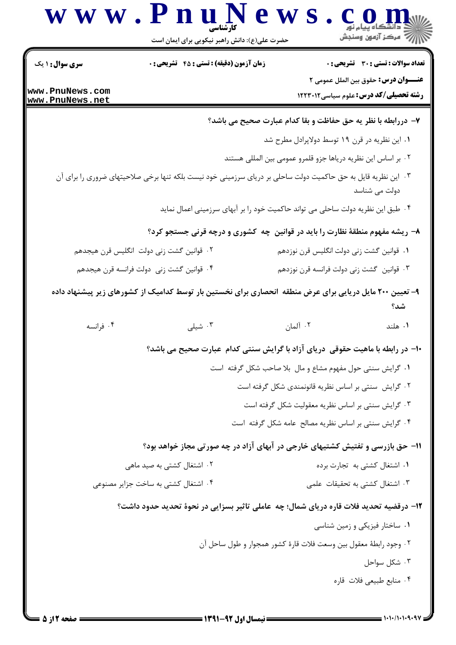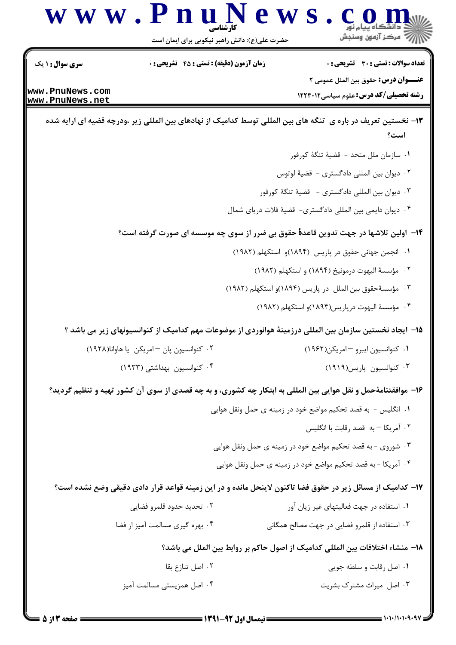

تعداد سوالات : تستى : 30 - تشريحي : 0 **سری سوال : ۱ یک زمان آزمون (دقیقه) : تستی : 45 تشریحی: 0 عنـــوان درس:** حقوق بين الملل عمومي ٢ www.PnuNews.com **رشته تحصیلی/کد درس:** علوم سیاسی ۱۲۲۳۰۱۲ www.PnuNews.net ۱۳- نخستین تعریف در باره ی تنگه های بین المللی توسط کدامیک از نهادهای بین المللی زیر ،ودرچه قضیه ای ارایه شده است؟ ٠١. سازمان ملل متحد - قضيهٔ تنگهٔ کورفور ٢. ديوان بين المللي دادگستري - قضيهٔ لوتوس ۰۳ دیوان بین المللی دادگستری - قضیهٔ تنگهٔ کورفور ۰۴ دیوان دایمی بین المللی دادگستری- قضیهٔ فلات دریای شمال ۱۴– اولین تلاشها در جهت تدوین قاعد**هٔ** حقوق بی ضرر از سوی چه موسسه ای صورت گرفته است؟ ١. انجمن جهاني حقوق در پاريس (١٨٩۴)و استكهلم (١٩٨٢) ۲. مؤسسهٔ الیهوت درمونیخ (۱۸۹۴) و استکهلم (۱۹۸۲) ۰۳ مؤسسهٔحقوق بین الملل در پاریس (۱۸۹۴)و استکهلم (۱۹۸۲) ۴. مؤسسة اليهوت درياريس(۱۸۹۴)و استكهلم (۱۹۸۲) ۱۵− ایجاد نخستین سازمان بین المللی درزمینهٔ هوانوردی از موضوعات مهم کدامیک از کنوانسیونهای زیر می باشد ؟ ۰۲ کنوانسیون یان – امریکن یا هاوانا(۱۹۲۸) ۰۱ کنوانسیون ایبرو –امریکن(۱۹۶۲) ۰۴ کنوانسیون بهداشتی (۱۹۳۳) ۰۳ کنوانسیون پاریس(۱۹۱۹) ۱۶- موافقتنامهٔحمل و نقل هوایی بین المللی به ابتکار چه کشوری، و به چه قصدی از سوی آن کشور تهیه و تنظیم گردید؟ ٠١. انگليس - به قصد تحكيم مواضع خود در زمينه ي حمل ونقل هوايي ۰۲ آمریکا – به قصد رقابت با انگلیس ۰۳ شوروی - به قصد تحکیم مواضع خود در زمینه ی حمل ونقل هوایی ۰۴ آمریکا - به قصد تحکیم مواضع خود در زمینه ی حمل ونقل هوایی ۱۷– کدامیک از مسائل زیر در حقوق فضا تاکنون لاینحل مانده و در این زمینه قواعد قرار دادی دقیقی وضع نشده است؟ ۰۱ استفاده در جهت فعالیتهای غیر زیان آور ۰۲ تحدید حدود قلمرو فضایی ۰۴ بهره گیری مسالمت آمیز از فضا ۰۳ استفاده از قلمرو فضایی در جهت مصالح همگانی ١٨– منشاء اختلافات بين المللي كداميك از اصول حاكم بر روابط بين الملل مي باشد؟ ٢. اصل تنا;ع بقا ۰۱ اصل رقابت و سلطه جویی ۰۳ اصل میراث مشترک بشریت ۰۴ اصل همزیستی مسالمت آمیز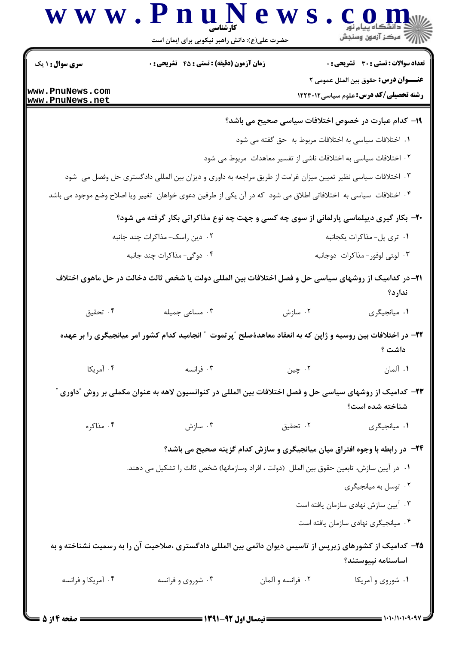